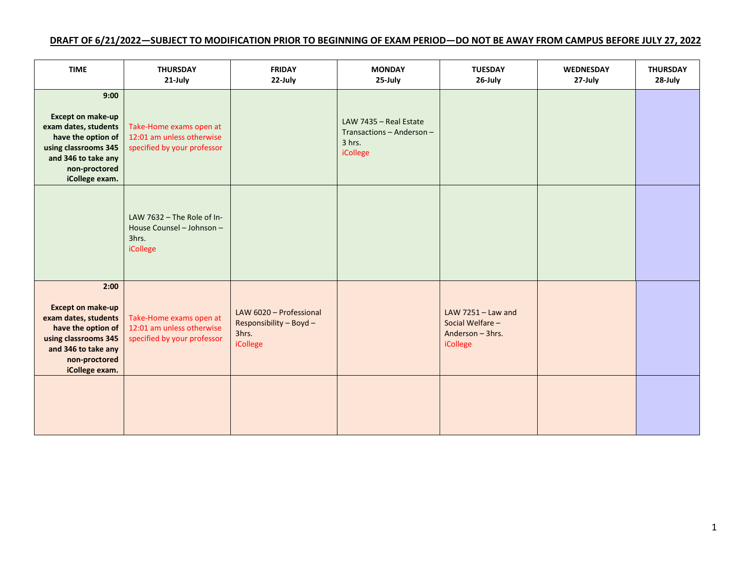## **DRAFT OF 6/21/2022—SUBJECT TO MODIFICATION PRIOR TO BEGINNING OF EXAM PERIOD—DO NOT BE AWAY FROM CAMPUS BEFORE JULY 27, 2022**

| <b>TIME</b>                                                                                                                                                      | <b>THURSDAY</b><br>21-July                                                          | <b>FRIDAY</b><br>22-July                                                | <b>MONDAY</b><br>25-July                                                  | <b>TUESDAY</b><br>26-July                                                | <b>WEDNESDAY</b><br>27-July | <b>THURSDAY</b><br>28-July |
|------------------------------------------------------------------------------------------------------------------------------------------------------------------|-------------------------------------------------------------------------------------|-------------------------------------------------------------------------|---------------------------------------------------------------------------|--------------------------------------------------------------------------|-----------------------------|----------------------------|
| 9:00<br>Except on make-up<br>exam dates, students<br>have the option of<br>using classrooms 345<br>and 346 to take any<br>non-proctored<br>iCollege exam.        | Take-Home exams open at<br>12:01 am unless otherwise<br>specified by your professor |                                                                         | LAW 7435 - Real Estate<br>Transactions - Anderson -<br>3 hrs.<br>iCollege |                                                                          |                             |                            |
|                                                                                                                                                                  | LAW 7632 - The Role of In-<br>House Counsel - Johnson -<br>3hrs.<br>iCollege        |                                                                         |                                                                           |                                                                          |                             |                            |
| 2:00<br><b>Except on make-up</b><br>exam dates, students<br>have the option of<br>using classrooms 345<br>and 346 to take any<br>non-proctored<br>iCollege exam. | Take-Home exams open at<br>12:01 am unless otherwise<br>specified by your professor | LAW 6020 - Professional<br>Responsibility - Boyd -<br>3hrs.<br>iCollege |                                                                           | LAW $7251 -$ Law and<br>Social Welfare -<br>Anderson - 3hrs.<br>iCollege |                             |                            |
|                                                                                                                                                                  |                                                                                     |                                                                         |                                                                           |                                                                          |                             |                            |